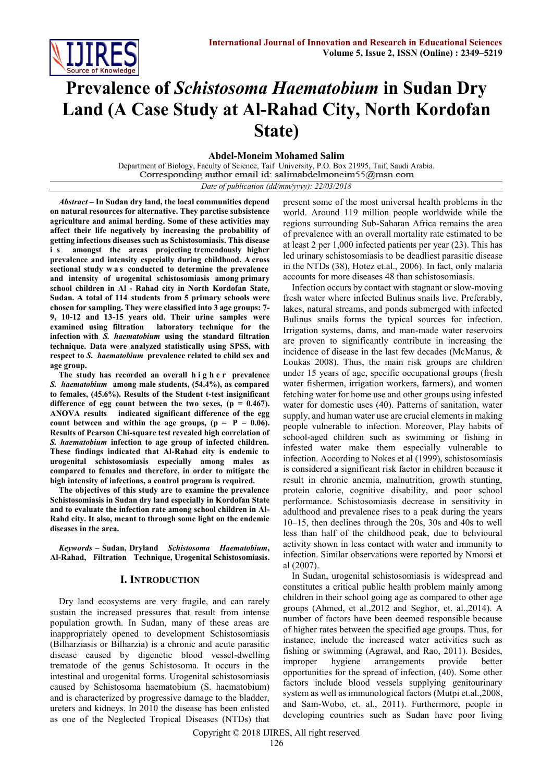

# **Prevalence of** *Schistosoma Haematobium* **in Sudan Dry Land (A Case Study at Al-Rahad City, North Kordofan State)**

**Abdel-Moneim Mohamed Salim**

Department of Biology, Faculty of Science, Taif University, P.O. Box 21995, Taif, Saudi Arabia.

*Date of publication (dd/mm/yyyy): 22/03/2018*

*Abstract –* **In Sudan dry land, the local communities depend on natural resources for alternative. They parctise subsistence agriculture and animal herding. Some of these activities may affect their life negatively by increasing the probability of getting infectious diseases such as Schistosomiasis. This disease i s amongst the areas projecting tremendously higher prevalence and intensity especially during childhood. A cross sectional study w a s conducted to determine the prevalence and intensity of urogenital schistosomiasis among primary school children in Al - Rahad city in North Kordofan State, Sudan. A total of 114 students from 5 primary schools were chosen for sampling. They were classified into 3 age groups: 7- 9, 10-12 and 13-15 years old. Their urine samples were examined using filtration laboratory technique for the infection with** *S. haematobium* **using the standard filtration technique. Data were analyzed statistically using SPSS, with respect to** *S. haematobium* **prevalence related to child sex and age group.** 

**The study has recorded an overall h i g h e r prevalence** *S. haematobium* **among male students, (54.4%), as compared to females, (45.6%). Results of the Student t-test insignificant**  difference of egg count between the two sexes,  $(p = 0.467)$ . **ANOVA results indicated significant difference of the egg count between and within the age groups,**  $(p = P = 0.06)$ **. Results of Pearson Chi-square test revealed high correlation of**  *S. haematobium* **infection to age group of infected children***.* **These findings indicated that Al-Rahad city is endemic to urogenital schistosomiasis especially among males as compared to females and therefore, in order to mitigate the high intensity of infections, a control program is required.**

**The objectives of this study are to examine the prevalence Schistosomiasis in Sudan dry land especially in Kordofan State and to evaluate the infection rate among school children in Al-Rahd city. It also, meant to through some light on the endemic diseases in the area.**

*Keywords –* **Sudan, Dryland** *Schistosoma Haematobium***, Al-Rahad, Filtration Technique, Urogenital Schistosomiasis.**

# **I. INTRODUCTION**

Dry land ecosystems are very fragile, and can rarely sustain the increased pressures that result from intense population growth. In Sudan, many of these areas are inappropriately opened to development Schistosomiasis (Bilharziasis or Bilharzia) is a chronic and acute parasitic disease caused by digenetic blood vessel-dwelling trematode of the genus Schistosoma. It occurs in the intestinal and urogenital forms. Urogenital schistosomiasis caused by Schistosoma haematobium (S. haematobium) and is characterized by progressive damage to the bladder, ureters and kidneys. In 2010 the disease has been enlisted as one of the Neglected Tropical Diseases (NTDs) that

present some of the most universal health problems in the world. Around 119 million people worldwide while the regions surrounding Sub-Saharan Africa remains the area of prevalence with an overall mortality rate estimated to be at least 2 per 1,000 infected patients per year (23). This has led urinary schistosomiasis to be deadliest parasitic disease in the NTDs (38), Hotez et.al., 2006). In fact, only malaria accounts for more diseases 48 than schistosomiasis.

Infection occurs by contact with stagnant or slow-moving fresh water where infected Bulinus snails live. Preferably, lakes, natural streams, and ponds submerged with infected Bulinus snails forms the typical sources for infection. Irrigation systems, dams, and man-made water reservoirs are proven to significantly contribute in increasing the incidence of disease in the last few decades (McManus, & Loukas 2008). Thus, the main risk groups are children under 15 years of age, specific occupational groups (fresh water fishermen, irrigation workers, farmers), and women fetching water for home use and other groups using infested water for domestic uses (40). Patterns of sanitation, water supply, and human water use are crucial elements in making people vulnerable to infection. Moreover, Play habits of school-aged children such as swimming or fishing in infested water make them especially vulnerable to infection. According to Nokes et al (1999), schistosomiasis is considered a significant risk factor in children because it result in chronic anemia, malnutrition, growth stunting, protein calorie, cognitive disability, and poor school performance. Schistosomiasis decrease in sensitivity in adulthood and prevalence rises to a peak during the years 10–15, then declines through the 20s, 30s and 40s to well less than half of the childhood peak, due to behvioural activity shown in less contact with water and immunity to infection. Similar observations were reported by Nmorsi et al (2007).

In Sudan, urogenital schistosomiasis is widespread and constitutes a critical public health problem mainly among children in their school going age as compared to other age groups (Ahmed, et al.,2012 and Seghor, et. al.,2014). A number of factors have been deemed responsible because of higher rates between the specified age groups. Thus, for instance, include the increased water activities such as fishing or swimming (Agrawal, and Rao, 2011). Besides, improper hygiene arrangements provide better opportunities for the spread of infection, (40). Some other factors include blood vessels supplying genitourinary system as well as immunological factors (Mutpi et.al.,2008, and Sam-Wobo, et. al., 2011). Furthermore, people in developing countries such as Sudan have poor living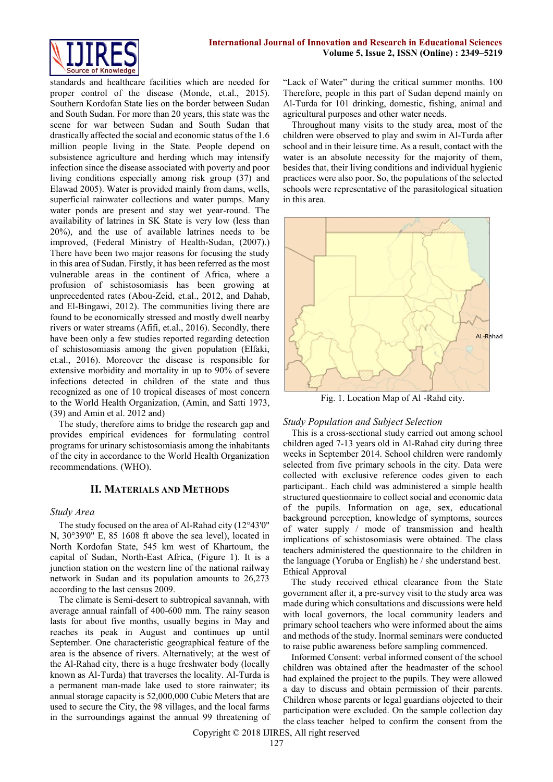

standards and healthcare facilities which are needed for proper control of the disease (Monde, et.al., 2015). Southern Kordofan State lies on the border between Sudan and South Sudan. For more than 20 years, this state was the scene for war between Sudan and South Sudan that drastically affected the social and economic status of the 1.6 million people living in the State. People depend on subsistence agriculture and herding which may intensify infection since the disease associated with poverty and poor living conditions especially among risk group (37) and Elawad 2005). Water is provided mainly from dams, wells, superficial rainwater collections and water pumps. Many water ponds are present and stay wet year-round. The availability of latrines in SK State is very low (less than 20%), and the use of available latrines needs to be improved, (Federal Ministry of Health-Sudan, (2007).) There have been two major reasons for focusing the study in this area of Sudan. Firstly, it has been referred as the most vulnerable areas in the continent of Africa, where a profusion of schistosomiasis has been growing at unprecedented rates (Abou-Zeid, et.al., 2012, and Dahab, and El-Bingawi, 2012). The communities living there are found to be economically stressed and mostly dwell nearby rivers or water streams (Afifi, et.al., 2016). Secondly, there have been only a few studies reported regarding detection of schistosomiasis among the given population (Elfaki, et.al., 2016). Moreover the disease is responsible for extensive morbidity and mortality in up to 90% of severe infections detected in children of the state and thus recognized as one of 10 tropical diseases of most concern to the World Health Organization, (Amin, and Satti 1973, (39) and Amin et al. 2012 and)

The study, therefore aims to bridge the research gap and provides empirical evidences for formulating control programs for urinary schistosomiasis among the inhabitants of the city in accordance to the World Health Organization recommendations. (WHO).

## **II. MATERIALS AND METHODS**

### *Study Area*

The study focused on the area of Al-Rahad city (12°43'0" N, 30°39'0" E, 85 1608 ft above the sea level), located in North Kordofan State, 545 km west of Khartoum, the capital of Sudan, North-East Africa, (Figure 1). It is a junction station on the western line of the national railway network in Sudan and its population amounts to 26,273 according to the last census 2009.

The climate is Semi-desert to subtropical savannah, with average annual rainfall of 400-600 mm. The rainy season lasts for about five months, usually begins in May and reaches its peak in August and continues up until September. One characteristic geographical feature of the area is the absence of rivers. Alternatively; at the west of the Al-Rahad city, there is a huge freshwater body (locally known as Al-Turda) that traverses the locality. Al-Turda is a permanent man-made lake used to store rainwater; its annual storage capacity is 52,000,000 Cubic Meters that are used to secure the City, the 98 villages, and the local farms in the surroundings against the annual 99 threatening of

"Lack of Water" during the critical summer months. 100 Therefore, people in this part of Sudan depend mainly on Al-Turda for 101 drinking, domestic, fishing, animal and agricultural purposes and other water needs.

Throughout many visits to the study area, most of the children were observed to play and swim in Al-Turda after school and in their leisure time. As a result, contact with the water is an absolute necessity for the majority of them, besides that, their living conditions and individual hygienic practices were also poor. So, the populations of the selected schools were representative of the parasitological situation in this area.



Fig. 1. Location Map of Al -Rahd city.

## *Study Population and Subject Selection*

This is a cross-sectional study carried out among school children aged 7-13 years old in Al-Rahad city during three weeks in September 2014. School children were randomly selected from five primary schools in the city. Data were collected with exclusive reference codes given to each participant.. Each child was administered a simple health structured questionnaire to collect social and economic data of the pupils. Information on age, sex, educational background perception, knowledge of symptoms, sources of water supply / mode of transmission and health implications of schistosomiasis were obtained. The class teachers administered the questionnaire to the children in the language (Yoruba or English) he / she understand best. Ethical Approval

The study received ethical clearance from the State government after it, a pre-survey visit to the study area was made during which consultations and discussions were held with local governors, the local community leaders and primary school teachers who were informed about the aims and methods of the study. Inormal seminars were conducted to raise public awareness before sampling commenced.

Informed Consent: verbal informed consent of the school children was obtained after the headmaster of the school had explained the project to the pupils. They were allowed a day to discuss and obtain permission of their parents. Children whose parents or legal guardians objected to their participation were excluded. On the sample collection day the class teacher helped to confirm the consent from the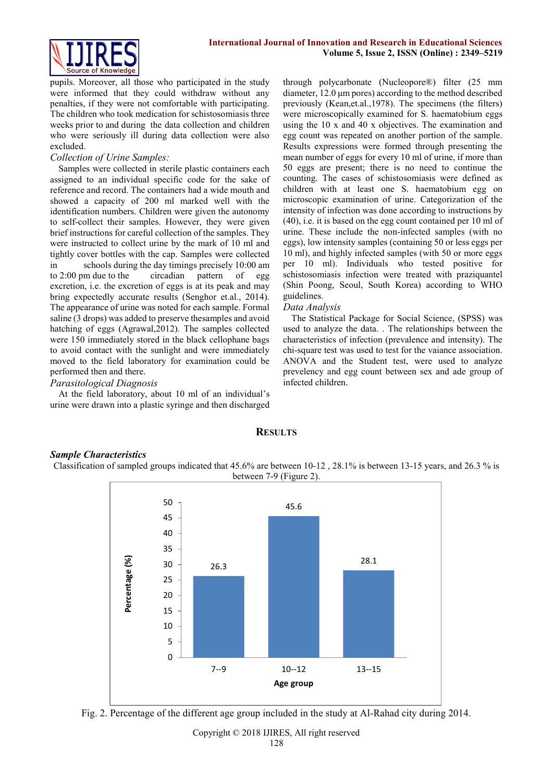

pupils. Moreover, all those who participated in the study were informed that they could withdraw without any penalties, if they were not comfortable with participating. The children who took medication for schistosomiasis three weeks prior to and during the data collection and children who were seriously ill during data collection were also excluded.

# *Collection of Urine Samples:*

Samples were collected in sterile plastic containers each assigned to an individual specific code for the sake of reference and record. The containers had a wide mouth and showed a capacity of 200 ml marked well with the identification numbers. Children were given the autonomy to self-collect their samples. However, they were given brief instructions for careful collection of the samples. They were instructed to collect urine by the mark of 10 ml and tightly cover bottles with the cap. Samples were collected in schools during the day timings precisely 10:00 am to 2:00 pm due to the circadian pattern of egg excretion, i.e. the excretion of eggs is at its peak and may bring expectedly accurate results (Senghor et.al., 2014). The appearance of urine was noted for each sample. Formal saline (3 drops) was added to preserve thesamples and avoid hatching of eggs (Agrawal,2012). The samples collected were 150 immediately stored in the black cellophane bags to avoid contact with the sunlight and were immediately moved to the field laboratory for examination could be performed then and there.

# *Parasitological Diagnosis*

At the field laboratory, about 10 ml of an individual's urine were drawn into a plastic syringe and then discharged through polycarbonate (Nucleopore®) filter (25 mm diameter, 12.0 μm pores) according to the method described previously (Kean,et.al.,1978). The specimens (the filters) were microscopically examined for S. haematobium eggs using the 10 x and 40 x objectives. The examination and egg count was repeated on another portion of the sample. Results expressions were formed through presenting the mean number of eggs for every 10 ml of urine, if more than 50 eggs are present; there is no need to continue the counting. The cases of schistosomiasis were defined as children with at least one S. haematobium egg on microscopic examination of urine. Categorization of the intensity of infection was done according to instructions by (40), i.e. it is based on the egg count contained per 10 ml of urine. These include the non-infected samples (with no eggs), low intensity samples (containing 50 or less eggs per 10 ml), and highly infected samples (with 50 or more eggs per 10 ml). Individuals who tested positive for schistosomiasis infection were treated with praziquantel (Shin Poong, Seoul, South Korea) according to WHO guidelines.

# *Data Analysis*

The Statistical Package for Social Science, (SPSS) was used to analyze the data. . The relationships between the characteristics of infection (prevalence and intensity). The chi-square test was used to test for the vaiance association. ANOVA and the Student test, were used to analyze prevelency and egg count between sex and ade group of infected children.

# **RESULTS**

## *Sample Characteristics*

Classification of sampled groups indicated that 45.6% are between 10-12 , 28.1% is between 13-15 years, and 26.3 % is between 7-9 (Figure 2).



Fig. 2. Percentage of the different age group included in the study at Al-Rahad city during 2014.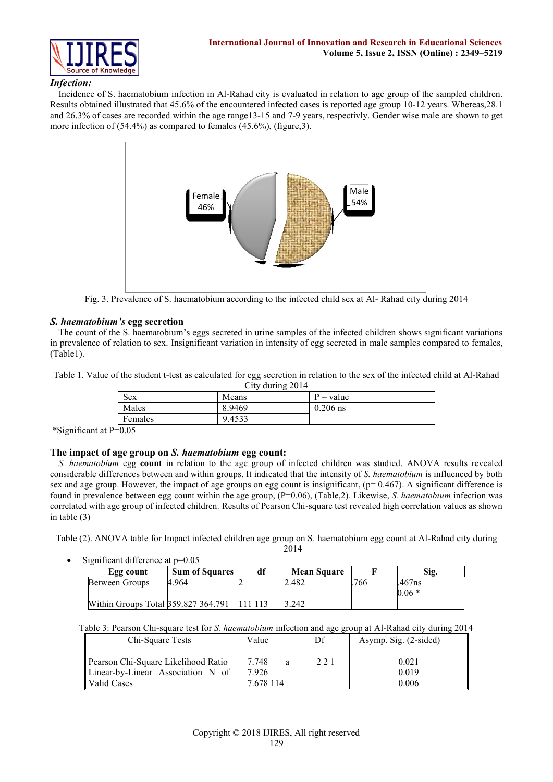

# *Infection:*

Incidence of S. haematobium infection in Al-Rahad city is evaluated in relation to age group of the sampled children. Results obtained illustrated that 45.6% of the encountered infected cases is reported age group 10-12 years. Whereas,28.1 and 26.3% of cases are recorded within the age range13-15 and 7-9 years, respectivly. Gender wise male are shown to get more infection of (54.4%) as compared to females (45.6%), (figure,3).



Fig. 3. Prevalence of S. haematobium according to the infected child sex at Al- Rahad city during 2014

# *S. haematobium's* **egg secretion**

The count of the S. haematobium's eggs secreted in urine samples of the infected children shows significant variations in prevalence of relation to sex. Insignificant variation in intensity of egg secreted in male samples compared to females, (Table1).

Table 1. Value of the student t-test as calculated for egg secretion in relation to the sex of the infected child at Al-Rahad City during 2014

| $C_{\rm UV}$ unime $Z_{\rm U1}$<br>Sex<br>Means |        | $P - value$ |
|-------------------------------------------------|--------|-------------|
| Males                                           | 8.9469 | $0.206$ ns  |
| Females                                         | 9.4533 |             |

\*Significant at P=0.05

## **The impact of age group on** *S. haematobium* **egg count:**

*S. haematobium* egg **count** in relation to the age group of infected children was studied. ANOVA results revealed considerable differences between and within groups. It indicated that the intensity of *S. haematobium* is influenced by both sex and age group. However, the impact of age groups on egg count is insignificant,  $(p= 0.467)$ . A significant difference is found in prevalence between egg count within the age group, (P=0.06), (Table,2). Likewise, *S. haematobium* infection was correlated with age group of infected children*.* Results of Pearson Chi-square test revealed high correlation values as shown in table (3)

Table (2). ANOVA table for Impact infected children age group on S. haematobium egg count at Al-Rahad city during

2014

| Significant difference at $p=0.05$ |                                     |                       |    |                    |     |         |  |  |  |  |  |
|------------------------------------|-------------------------------------|-----------------------|----|--------------------|-----|---------|--|--|--|--|--|
|                                    | Egg count                           | <b>Sum of Squares</b> | df | <b>Mean Square</b> |     | Sig.    |  |  |  |  |  |
|                                    | Between Groups                      | 4.964                 |    | 2.482              | 766 | .467ns  |  |  |  |  |  |
|                                    |                                     |                       |    |                    |     | $0.06*$ |  |  |  |  |  |
|                                    | Within Groups Total 359.827 364.791 |                       |    | 3.242              |     |         |  |  |  |  |  |

Table 3: Pearson Chi-square test for *S. haematobium* infection and age group at Al-Rahad city during 2014

| Chi-Square Tests                    | Value     | Df  | Asymp. Sig. (2-sided) |
|-------------------------------------|-----------|-----|-----------------------|
| Pearson Chi-Square Likelihood Ratio | 7.748     | 221 | 0.021                 |
| Linear-by-Linear Association N of   | 7.926     |     | 0.019                 |
| Valid Cases                         | 7 678 114 |     | 0.006                 |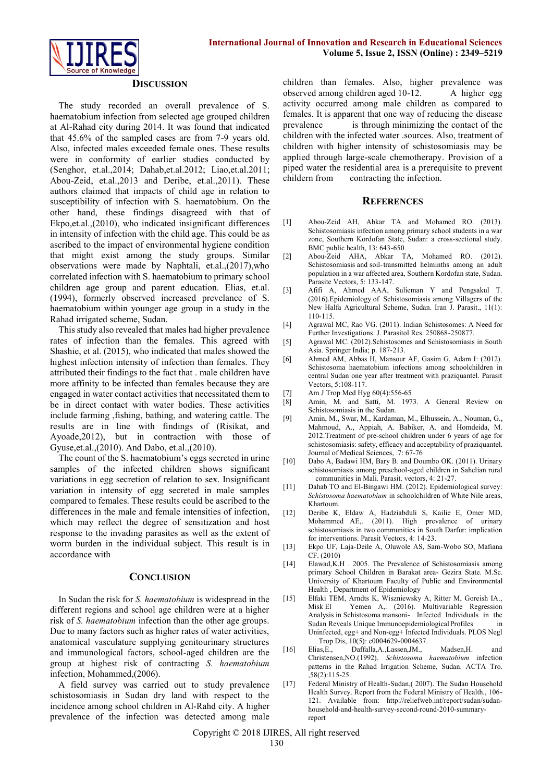

### **DISCUSSION**

The study recorded an overall prevalence of S. haematobium infection from selected age grouped children at Al-Rahad city during 2014. It was found that indicated that 45.6% of the sampled cases are from 7-9 years old. Also, infected males exceeded female ones. These results were in conformity of earlier studies conducted by (Senghor, et.al.,2014; Dahab,et.al.2012; Liao,et.al.2011; Abou-Zeid, et.al.,2013 and Deribe, et.al.,2011). These authors claimed that impacts of child age in relation to susceptibility of infection with S. haematobium. On the other hand, these findings disagreed with that of Ekpo,et.al.,(2010), who indicated insignificant differences in intensity of infection with the child age. This could be as ascribed to the impact of environmental hygiene condition that might exist among the study groups. Similar observations were made by Naphtali, et.al.,(2017),who correlated infection with S. haematobium to primary school children age group and parent education. Elias, et.al. (1994), formerly observed increased prevelance of S. haematobium within younger age group in a study in the Rahad irrigated scheme, Sudan.

This study also revealed that males had higher prevalence rates of infection than the females. This agreed with Shashie, et al. (2015), who indicated that males showed the highest infection intensity of infection than females. They attributed their findings to the fact that . male children have more affinity to be infected than females because they are engaged in water contact activities that necessitated them to be in direct contact with water bodies. These activities include farming ,fishing, bathing, and watering cattle. The results are in line with findings of (Risikat, and Ayoade,2012), but in contraction with those of Gyuse,et.al.,(2010). And Dabo, et.al.,(2010).

The count of the S. haematobium's eggs secreted in urine samples of the infected children shows significant variations in egg secretion of relation to sex. Insignificant variation in intensity of egg secreted in male samples compared to females. These results could be ascribed to the differences in the male and female intensities of infection, which may reflect the degree of sensitization and host response to the invading parasites as well as the extent of worm burden in the individual subject. This result is in accordance with

### **CONCLUSION**

In Sudan the risk for *S. haematobium* is widespread in the different regions and school age children were at a higher risk of *S. haematobium* infection than the other age groups. Due to many factors such as higher rates of water activities, anatomical vasculature supplying genitourinary structures and immunological factors, school-aged children are the group at highest risk of contracting *S. haematobium* infection, Mohammed,(2006).

A field survey was carried out to study prevalence schistosomiasis in Sudan dry land with respect to the incidence among school children in Al-Rahd city. A higher prevalence of the infection was detected among male children than females. Also, higher prevalence was observed among children aged 10-12. A higher egg activity occurred among male children as compared to females. It is apparent that one way of reducing the disease prevalence is through minimizing the contact of the children with the infected water .sources. Also, treatment of children with higher intensity of schistosomiasis may be applied through large-scale chemotherapy. Provision of a piped water the residential area is a prerequisite to prevent childern from contracting the infection.

## **REFERENCES**

- [1] Abou-Zeid AH, Abkar TA and Mohamed RO. (2013). Schistosomiasis infection among primary school students in a war zone, Southern Kordofan State, Sudan: a cross-sectional study. BMC public health, 13: 643-650.
- [2] Abou-Zeid AHA, Abkar TA, Mohamed RO. (2012). Schistosomiasis and soil-transmitted helminths among an adult population in a war affected area, Southern Kordofan state, Sudan. Parasite Vectors, 5: 133-147.
- [3] Afifi A, Ahmed AAA, Sulieman Y and Pengsakul T. (2016).Epidemiology of Schistosomiasis among Villagers of the New Halfa Agricultural Scheme, Sudan. Iran J. Parasit., 11(1): 110-115.
- [4] Agrawal MC, Rao VG. (2011). Indian Schistosomes: A Need for Further Investigations. J. Parasitol Res. 250868-250877.
- [5] Agrawal MC. (2012).Schistosomes and Schistosomiasis in South Asia. Springer India; p. 187-213.
- [6] Ahmed AM, Abbas H, Mansour AF, Gasim G, Adam I: (2012). Schistosoma haematobium infections among schoolchildren in central Sudan one year after treatment with praziquantel. Parasit Vectors, 5:108-117.
- [7] Am J Trop Med Hyg 60(4):556-65<br>[8] Amin, M. and Satti, M. 197.
- Amin, M. and Satti, M. 1973. A General Review on Schistosomiasis in the Sudan.
- [9] Amin, M., Swar, M., Kardaman, M., Elhussein, A., Nouman, G., Mahmoud, A., Appiah, A. Babiker, A. and Homdeida, M. 2012.Treatment of pre-school children under 6 years of age for schistosomiasis: safety, efficacy and acceptability of praziquantel. Journal of Medical Sciences, .7: 67-76
- [10] Dabo A, Badawi HM, Bary B. and Doumbo OK. (2011). Urinary schistosomiasis among preschool-aged children in Sahelian rural communities in Mali. Parasit. vectors, 4: 21-27.
- [11] Dahab TO and El-Bingawi HM. (2012). Epidemiological survey: *Schistosoma haematobium* in schoolchildren of White Nile areas, Khartoum.
- [12] Deribe K, Eldaw A, Hadziabduli S, Kailie E, Omer MD, Mohammed AE,. (2011). High prevalence of urinary schistosomiasis in two communities in South Darfur: implication for interventions. Parasit Vectors, 4: 14-23.
- [13] Ekpo UF, Laja-Deile A, Oluwole AS, Sam-Wobo SO, Mafiana CF. (2010)
- [14] Elawad, K.H . 2005. The Prevalence of Schistosomiasis among primary School Children in Barakat area- Gezira State. M.Sc. University of Khartoum Faculty of Public and Environmental Health , Department of Epidemiology
- [15] Elfaki TEM, Arndts K, Wiszniewsky A, Ritter M, Goreish IA., Misk El Yemen A,. (2016). Multivariable Regression Analysis in Schistosoma mansoni- Infected Individuals in the Sudan Reveals Unique Immunoepidemiological Profiles in Uninfected, egg+ and Non-egg+ Infected Individuals. PLOS Negl Trop Dis, 10(5): e0004629-0004637.
- [16] Elias,E., Daffalla,A.,Lassen,JM., Madsen,H. and Christensen,NO.(1992). *Schistosoma haematobium* infection patterns in the Rahad Irrigation Scheme, Sudan. ACTA Tro.  $58(2):115-25.$
- [17] Federal Ministry of Health-Sudan, (2007). The Sudan Household Health Survey. Report from the Federal Ministry of Health., 106- 121. Available from: [http://reliefweb.int/report/sudan/sudan](http://reliefweb.int/report/sudan/sudan-household-and-health-survey-second-round-2010-summary-report)[household-and-health-survey-second-round-2010-summary](http://reliefweb.int/report/sudan/sudan-household-and-health-survey-second-round-2010-summary-report)[report](http://reliefweb.int/report/sudan/sudan-household-and-health-survey-second-round-2010-summary-report)

Copyright © 2018 IJIRES, All right reserved